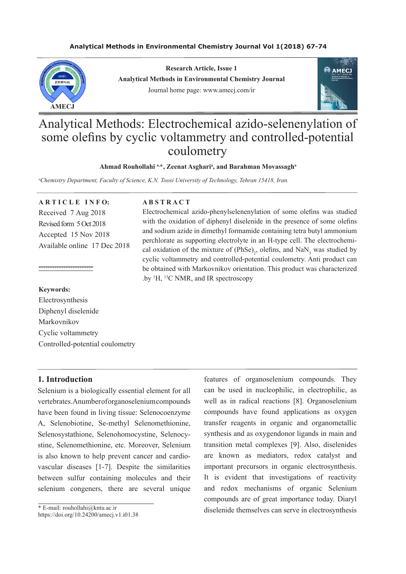# **Analytical Methods in Environmental Chemistry Journal Vol 1(2018) 67-74**



**Research Article, Issue 1 Analytical Methods in Environmental Chemistry Journal** Journal home page: www.amecj.com/ir



# Analytical Methods: Electrochemical azido-selenenylation of some olefins by cyclic voltammetry and controlled-potential coulometry

#### Ahmad Rouhollahi<sup>a,\*</sup>, Zeenat Asghari<sup>a</sup>, and Barahman Movassagh<sup>a</sup>

*a Chemistry Department, Faculty of Science, K.N. Toosi University of Technology, Tehran 15418, Iran.*

**A R T I C L E I N F O:** Received 7 Aug 2018 Revised form 5 Oct 2018 Accepted 15 Nov 2018 Available online 17 Dec 2018

#### **Keywords:**

------------------------

Electrosynthesis Diphenyl diselenide Markovnikov Cyclic voltammetry Controlled-potential coulometry

# **1. Introduction**

Selenium is a biologically essential element for all vertebrates. A number of organoselenium compounds have been found in living tissue: Selenocoenzyme A, Selenobiotine, Se-methyl Selenomethionine, Selenosystathione, Selenohomocystine, Selenocystine, Selenomethionine, etc. Moreover, Selenium is also known to help prevent cancer and cardiovascular diseases [1-7]. Despite the similarities between sulfur containing molecules and their selenium congeners, there are several unique

\* E-mail: rouhollahi@kntu.ac.ir

https://doi.org/10.24200/amecj.v1.i01.38

## **A B S T R A C T**

Electrochemical azido-phenylselenenylation of some olefins was studied with the oxidation of diphenyl diselenide in the presence of some olefins and sodium azide in dimethyl formamide containing tetra butyl ammonium perchlorate as supporting electrolyte in an H-type cell. The electrochemical oxidation of the mixture of  $(PhSe)_2$ , olefins, and NaN<sub>3</sub> was studied by cyclic voltammetry and controlled-potential coulometry. Anti product can be obtained with Markovnikov orientation. This product was characterized .by  $H$ ,  $H^3C$  NMR, and IR spectroscopy

> features of organoselenium compounds. They can be used in nucleophilic, in electrophilic, as well as in radical reactions [8]. Organoselenium compounds have found applications as oxygen transfer reagents in organic and organometallic synthesis and as oxygendonor ligands in main and transition metal complexes [9]. Also, diselenides are known as mediators, redox catalyst and important precursors in organic electrosynthesis. It is evident that investigations of reactivity and redox mechanisms of organic Selenium compounds are of great importance today. Diaryl diselenide themselves can serve in electrosynthesis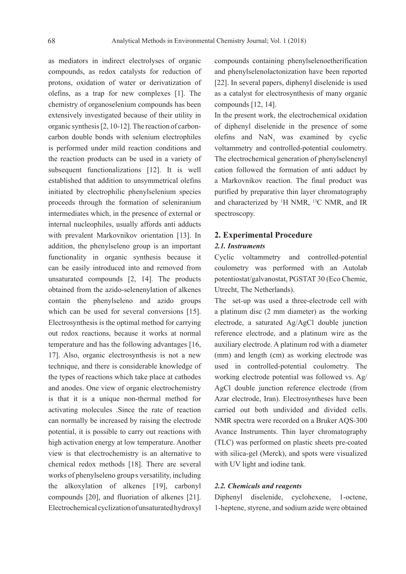as mediators in indirect electrolyses of organic compounds, as redox catalysts for reduction of protons, oxidation of water or derivatization of olefins, as a trap for new complexes [1]. The chemistry of organoselenium compounds has been extensively investigated because of their utility in organic synthesis [2, 10-12]. The reaction of carboncarbon double bonds with selenium electrophiles is performed under mild reaction conditions and the reaction products can be used in a variety of subsequent functionalizations [12]. It is well established that addition to unsymmetrical olefins initiated by electrophilic phenylselenium species proceeds through the formation of seleniranium intermediates which, in the presence of external or internal nucleophiles, usually affords anti adducts with prevalent Markovnikov orientation [13]. In addition, the phenylseleno group is an important functionality in organic synthesis because it can be easily introduced into and removed from unsaturated compounds [2, 14]. The products obtained from the azido-selenenylation of alkenes contain the phenylseleno and azido groups which can be used for several conversions [15]. Electrosynthesis is the optimal method for carrying out redox reactions, because it works at normal temperature and has the following advantages [16, 17]. Also, organic electrosynthesis is not a new technique, and there is considerable knowledge of the types of reactions which take place at cathodes and anodes. One view of organic electrochemistry is that it is a unique non-thermal method for activating molecules .Since the rate of reaction can normally be increased by raising the electrode potential, it is possible to carry out reactions with high activation energy at low temperature. Another view is that electrochemistry is an alternative to chemical redox methods [18]. There are several works of phenylseleno group's versatility, including the alkoxylation of alkenes [19], carbonyl compounds [20], and fluoriation of alkenes [21]. Electrochemical cyclization of unsaturated hydroxyl

compounds containing phenylselenoetherification and phenylselenolactonization have been reported [22]. In several papers, diphenyl diselenide is used as a catalyst for electrosynthesis of many organic compounds [12, 14].

In the present work, the electrochemical oxidation of diphenyl diselenide in the presence of some olefins and  $\text{NaN}_3$  was examined by cyclic voltammetry and controlled-potential coulometry. The electrochemical generation of phenylselenenyl cation followed the formation of anti adduct by a Markovnikov reaction. The final product was purified by preparative thin layer chromatography and characterized by 1 H NMR, 13C NMR, and IR spectroscopy.

# **2. Experimental Procedure**

# *2.1. Instruments*

Cyclic voltammetry and controlled-potential coulometry was performed with an Autolab potentiostat/galvanostat, PGSTAT 30 (Eco Chemie, Utrecht, The Netherlands).

The set-up was used a three-electrode cell with a platinum disc (2 mm diameter) as the working electrode, a saturated Ag/AgCl double junction reference electrode, and a platinum wire as the auxiliary electrode. A platinum rod with a diameter (mm) and length (cm) as working electrode was used in controlled-potential coulometry. The working electrode potential was followed vs. Ag/ AgCl double junction reference electrode (from Azar electrode, Iran). Electrosyntheses have been carried out both undivided and divided cells. NMR spectra were recorded on a Bruker AQS-300 Avance Instruments. Thin layer chromatography (TLC) was performed on plastic sheets pre-coated with silica-gel (Merck), and spots were visualized with UV light and iodine tank.

## *2.2. Chemicals and reagents*

Diphenyl diselenide, cyclohexene, 1-octene, 1-heptene, styrene, and sodium azide were obtained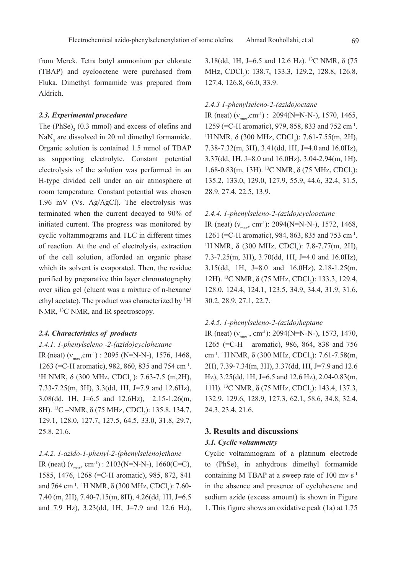from Merck. Tetra butyl ammonium per chlorate (TBAP) and cyclooctene were purchased from Fluka. Dimethyl formamide was prepared from Aldrich.

#### *2.3. Experimental procedure*

The  $(PhSe)$ <sub>2</sub>  $(0.3 \text{ mmol})$  and excess of olefins and  $\text{NaN}_3$  are dissolved in 20 ml dimethyl formamide. Organic solution is contained 1.5 mmol of TBAP as supporting electrolyte. Constant potential electrolysis of the solution was performed in an H-type divided cell under an air atmosphere at room temperature. Constant potential was chosen 1.96 mV (Vs. Ag/AgCl). The electrolysis was terminated when the current decayed to 90% of initiated current. The progress was monitored by cyclic voltammograms and TLC in different times of reaction. At the end of electrolysis, extraction of the cell solution, afforded an organic phase which its solvent is evaporated. Then, the residue purified by preparative thin layer chromatography over silica gel (eluent was a mixture of n-hexane/ ethyl acetate). The product was characterized by 1 H NMR, <sup>13</sup>C NMR, and IR spectroscopy.

#### *2.4. Characteristics of products*

# *2.4.1. 1-phenylseleno -2-(azido)cyclohexane*

IR (neat)  $(v_{\text{max}}, \text{cm}^{-1})$  : 2095 (N=N-N-), 1576, 1468, 1263 (=C-H aromatic), 982, 860, 835 and 754 cm-1. <sup>1</sup>H NMR, δ (300 MHz, CDCl<sub>3</sub>): 7.63-7.5 (m,2H), 7.33-7.25(m, 3H), 3.3(dd, 1H, J=7.9 and 12.6Hz), 3.08(dd, 1H, J=6.5 and 12.6Hz), 2.15-1.26(m, 8H). <sup>13</sup>C –NMR, δ (75 MHz, CDCl<sub>3</sub>): 135.8, 134.7, 129.1, 128.0, 127.7, 127.5, 64.5, 33.0, 31.8, 29.7, 25.8, 21.6.

## *2.4.2. 1-azido-1-phenyl-2-(phenylseleno)ethane*

IR (neat) ( $v_{\text{max}}$ , cm<sup>-1</sup>) : 2103(N=N-N-), 1660(C=C), 1585, 1476, 1268 (=C-H aromatic), 985, 872, 841 and 764 cm<sup>-1</sup>. <sup>1</sup>H NMR,  $\delta$  (300 MHz, CDCl<sub>3</sub>): 7.60-7.40 (m, 2H), 7.40-7.15(m, 8H), 4.26(dd, 1H, J=6.5 and 7.9 Hz), 3.23(dd, 1H, J=7.9 and 12.6 Hz), 3.18(dd, 1H, J=6.5 and 12.6 Hz). <sup>13</sup>C NMR,  $\delta$  (75 MHz, CDCl<sub>3</sub>): 138.7, 133.3, 129.2, 128.8, 126.8, 127.4, 126.8, 66.0, 33.9.

## *2.4.3 1-phenylseleno-2-(azido)octane*

IR (neat)  $(v_{\text{max}}, \text{cm}^{-1})$  : 2094(N=N-N-), 1570, 1465, 1259 (=C-H aromatic), 979, 858, 833 and 752 cm-1. <sup>1</sup>H NMR, δ (300 MHz, CDCl<sub>3</sub>): 7.61-7.55(m, 2H), 7.38-7.32(m, 3H), 3.41(dd, 1H, J=4.0 and 16.0Hz), 3.37(dd, 1H, J=8.0 and 16.0Hz), 3.04-2.94(m, 1H), 1.68-0.83(m, 13H). <sup>13</sup>C NMR, δ (75 MHz, CDCl<sub>3</sub>): 135.2, 133.0, 129.0, 127.9, 55.9, 44.6, 32.4, 31.5, 28.9, 27.4, 22.5, 13.9.

# *2.4.4. 1-phenylseleno-2-(azido)cyclooctane*

IR (neat) ( $v_{\text{max}}$ , cm<sup>-1</sup>): 2094(N=N-N-), 1572, 1468, 1261 (=C-H aromatic), 984, 863, 835 and 753 cm-1. <sup>1</sup>H NMR, δ (300 MHz, CDCl<sub>3</sub>): 7.8-7.77(m, 2H), 7.3-7.25(m, 3H), 3.70(dd, 1H, J=4.0 and 16.0Hz), 3.15(dd, 1H, J=8.0 and 16.0Hz), 2.18-1.25(m, 12H). <sup>13</sup>C NMR, δ (75 MHz, CDCl<sub>3</sub>): 133.3, 129.4, 128.0, 124.4, 124.1, 123.5, 34.9, 34.4, 31.9, 31.6, 30.2, 28.9, 27.1, 22.7.

#### *2.4.5. 1-phenylseleno-2-(azido)heptane*

IR (neat)  $(v_{\text{max}}^{\text{}}$ , cm<sup>-1</sup>): 2094(N=N-N-), 1573, 1470, 1265 (=C-H aromatic), 986, 864, 838 and 756 cm<sup>-1</sup>. <sup>1</sup>H NMR, δ (300 MHz, CDCl<sub>3</sub>): 7.61-7.58(m, 2H), 7.39-7.34(m, 3H), 3.37(dd, 1H, J=7.9 and 12.6 Hz), 3.25(dd, 1H, J=6.5 and 12.6 Hz), 2.04-0.83(m, 11H). <sup>13</sup>C NMR, δ (75 MHz, CDCl<sub>3</sub>): 143.4, 137.3, 132.9, 129.6, 128.9, 127.3, 62.1, 58.6, 34.8, 32.4, 24.3, 23.4, 21.6.

# **3. Results and discussions**

#### *3.1. Cyclic voltammetry*

Cyclic voltammogram of a platinum electrode to  $(PhSe)$ <sub>2</sub> in anhydrous dimethyl formamide containing M TBAP at a sweep rate of  $100 \text{ mv s}^{-1}$ in the absence and presence of cyclohexene and sodium azide (excess amount) is shown in Figure 1. This figure shows an oxidative peak (1a) at 1.75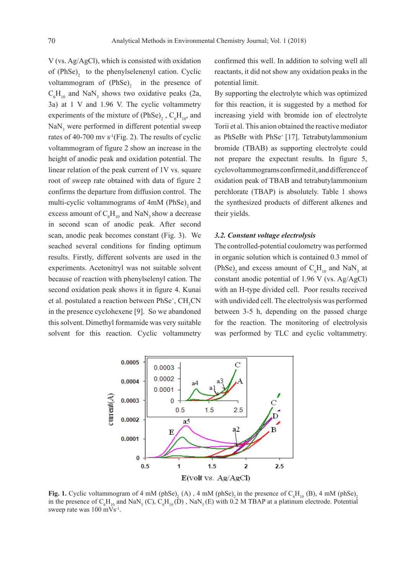V (vs. Ag/AgCl), which is consisted with oxidation of  $(PhSe)$ <sub>2</sub> to the phenylselenenyl cation. Cyclic voltammogram of  $(PhSe)$ <sub>2</sub> in the presence of  $C_6H_{10}$  and NaN<sub>3</sub> shows two oxidative peaks (2a, 3a) at 1 V and 1.96 V. The cyclic voltammetry experiments of the mixture of  $(PhSe)$ <sub>2</sub>,  $C_6H_{10}$ , and  $\text{NaN}_3$  were performed in different potential sweep rates of 40-700 mv  $s^{-1}$ (Fig. 2). The results of cyclic voltammogram of figure 2 show an increase in the height of anodic peak and oxidation potential. The linear relation of the peak current of 1V vs. square root of sweep rate obtained with data of figure 2 confirms the departure from diffusion control. The multi-cyclic voltammograms of 4mM (PhSe), and excess amount of  $C_6H_{10}$  and NaN<sub>3</sub> show a decrease in second scan of anodic peak. After second scan, anodic peak becomes constant (Fig. 3). We seached several conditions for finding optimum results. Firstly, different solvents are used in the experiments. Acetonitryl was not suitable solvent because of reaction with phenylselenyl cation. The second oxidation peak shows it in figure 4. Kunai et al. postulated a reaction between  $PhSe^+$ ,  $CH_3CN$ in the presence cyclohexene [9]. So we abandoned this solvent. Dimethyl formamide was very suitable solvent for this reaction. Cyclic voltammetry

confirmed this well. In addition to solving well all reactants, it did not show any oxidation peaks in the potential limit.

By supporting the electrolyte which was optimized for this reaction, it is suggested by a method for increasing yield with bromide ion of electrolyte Torii et al. This anion obtained the reactive mediator as PhSeBr with PhSe<sup>+</sup> [17]. Tetrabutylammonium bromide (TBAB) as supporting electrolyte could not prepare the expectant results. In figure 5, cyclovoltammograms confirmed it, and difference of oxidation peak of TBAB and tetrabutylammonium perchlorate (TBAP) is absolutely. Table 1 shows the synthesized products of different alkenes and their yields.

#### *3.2. Constant voltage electrolysis*

The controlled-potential coulometry was performed in organic solution which is contained 0.3 mmol of  $(PhSe)$ <sub>2</sub> and excess amount of  $C_6H_{10}$  and NaN<sub>3</sub> at constant anodic potential of 1.96 V (vs. Ag/AgCl) with an H-type divided cell. Poor results received with undivided cell. The electrolysis was performed between 3-5 h, depending on the passed charge for the reaction. The monitoring of electrolysis was performed by TLC and cyclic voltammetry.



**Fig. 1.** Cyclic voltammogram of 4 mM (phSe)<sub>2</sub> (A), 4 mM (phSe)<sub>2</sub> in the presence of  $C_6H_{10}$  (B), 4 mM (phSe)<sub>2</sub> in the presence of  $C_6H_{10}$  and NaN<sub>3</sub> (C),  $C_6H_{10}(D)$ , NaN<sub>3</sub> (E) with 0.2 M TBAP at a platinum electrode. Potential sweep rate was 100 mVs<sup>-1</sup>.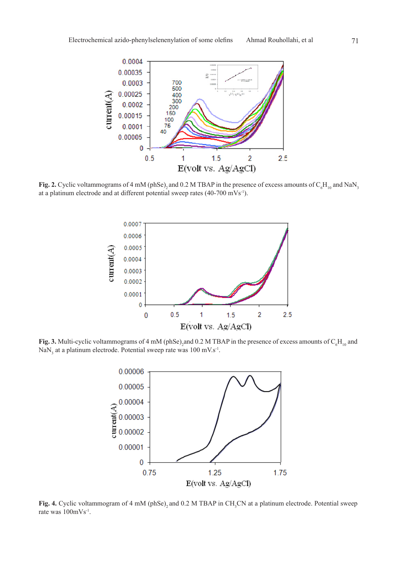

**Fig. 2.** Cyclic voltammograms of 4 mM (phSe)<sub>2</sub> and 0.2 M TBAP in the presence of excess amounts of  $C_6H_{10}$  and NaN<sub>3</sub> at a platinum electrode and at different potential sweep rates (40-700 mVs-1).



**Fig. 3.** Multi-cyclic voltammograms of 4 mM (phSe)<sub>2</sub> and 0.2 M TBAP in the presence of excess amounts of  $C_6H_{10}$  and  $\text{NaN}_3$  at a platinum electrode. Potential sweep rate was 100 mV.s<sup>-1</sup>.



**Fig. 4.** Cyclic voltammogram of 4 mM (phSe)<sub>2</sub> and 0.2 M TBAP in CH<sub>3</sub>CN at a platinum electrode. Potential sweep rate was 100mVs-1.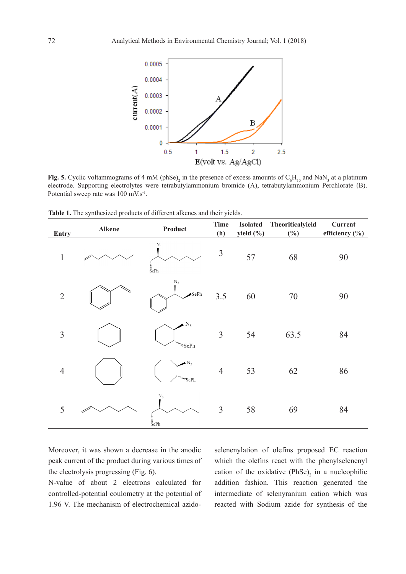

**Fig. 5.** Cyclic voltammograms of 4 mM (phSe)<sub>2</sub> in the presence of excess amounts of  $C_6H_{10}$  and NaN<sub>3</sub> at a platinum electrode. Supporting electrolytes were tetrabutylammonium bromide (A), tetrabutylammonium Perchlorate (B). Potential sweep rate was 100 mV.s<sup>-1</sup>.

| Entry          | Alkene | Product                                                                  | <b>Time</b><br>(h) | <b>Isolated</b><br>yield (%) | Theoriticalyield<br>$(\%)$ | Current<br>efficiency (%) |
|----------------|--------|--------------------------------------------------------------------------|--------------------|------------------------------|----------------------------|---------------------------|
| $\mathbf{1}$   |        | $N_3$<br>$\frac{1}{\bar{{\rm S}}}$ ePh                                   | $\mathfrak{Z}$     | 57                           | 68                         | 90                        |
| $\overline{2}$ |        | $\begin{array}{l} N_3 \\ \vdots \\ \end{array}$<br>$\blacktriangle$ SePh | 3.5                | 60                           | $70\,$                     | 90                        |
| $\overline{3}$ |        | $N_3$<br>""/wsePh                                                        | $\overline{3}$     | 54                           | 63.5                       | 84                        |
| $\overline{4}$ |        | $\bullet N_3$<br>$\lq\lq\lq\lq\lq\lq\lq\lq\lq\lq\lq\lq\lq$               | $\overline{4}$     | 53                           | 62                         | 86                        |
| 5              |        | $\rm N_3$<br>$\frac{1}{\bar{{\rm S}}}$ ePh                               | $\overline{3}$     | 58                           | 69                         | 84                        |

Table 1. The synthesized products of different alkenes and their yields.

Moreover, it was shown a decrease in the anodic peak current of the product during various times of the electrolysis progressing (Fig. 6).

N-value of about 2 electrons calculated for controlled-potential coulometry at the potential of 1.96 V. The mechanism of electrochemical azidoselenenylation of olefins proposed EC reaction which the olefins react with the phenylselenenyl cation of the oxidative  $(PhSe)$ <sub>2</sub> in a nucleophilic addition fashion. This reaction generated the intermediate of selenyranium cation which was reacted with Sodium azide for synthesis of the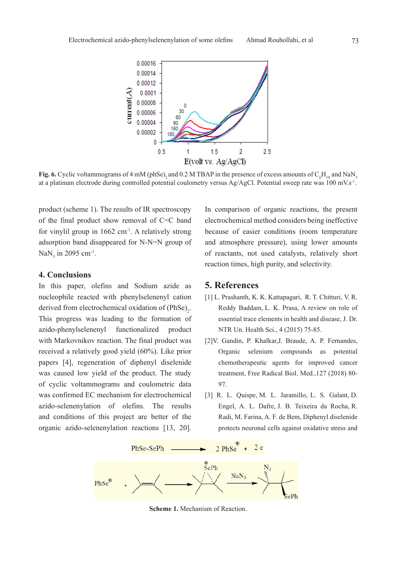

**Fig. 6.** Cyclic voltammograms of 4 mM (phSe)<sub>2</sub> and 0.2 M TBAP in the presence of excess amounts of  $C_6H_{10}$  and NaN<sub>3</sub> at a platinum electrode during controlled potential coulometry versus Ag/AgCl. Potential sweep rate was 100 mV.s<sup>-1</sup>.

product (scheme 1). The results of IR spectroscopy of the final product show removal of C=C band for vinylil group in  $1662 \text{ cm}^{-1}$ . A relatively strong adsorption band disappeared for N-N=N group of  $\text{NaN}_3$  in 2095 cm<sup>-1</sup>.

# **4. Conclusions**

In this paper, olefins and Sodium azide as nucleophile reacted with phenylselenenyl cation derived from electrochemical oxidation of  $(PhSe)_{2}$ . This progress was leading to the formation of azido-phenylselenenyl functionalized product with Markovnikov reaction. The final product was received a relatively good yield (60%). Like prior papers [4], regeneration of diphenyl diselenide was caused low yield of the product. The study of cyclic voltammograms and coulometric data was confirmed EC mechanism for electrochemical azido-selenenylation of olefins. The results and conditions of this project are better of the organic azido-selenenylation reactions [13, 20].

In comparison of organic reactions, the present electrochemical method considers being ineffective because of easier conditions (room temperature and atmosphere pressure), using lower amounts of reactants, not used catalysts, relatively short reaction times, high purity, and selectivity.

# **5. References**

- [1] L. Prashanth, K. K. Kattapagari, R. T. Chitturi, V. R. Reddy Baddam, L. K. Prasa, A review on role of essential trace elements in health and disease, J. Dr. NTR Un. Health Sci., 4 (2015) 75-85.
- [2]V. Gandin, P. Khalkar,J. Braude, A. P. Fernandes, Organic selenium compounds as potential chemotherapeutic agents for improved cancer treatment, Free Radical Biol. Med.,127 (2018) 80- 97.
- [3] R. L. Quispe, M. L. Jaramillo, L. S. Galant, D. Engel, A. L. Dafre, J. B. Teixeira da Rocha, R. Radi, M. Farina, A. F. de Bem, Diphenyl diselenide protects neuronal cells against oxidative stress and



**Scheme 1.** Mechanism of Reaction.